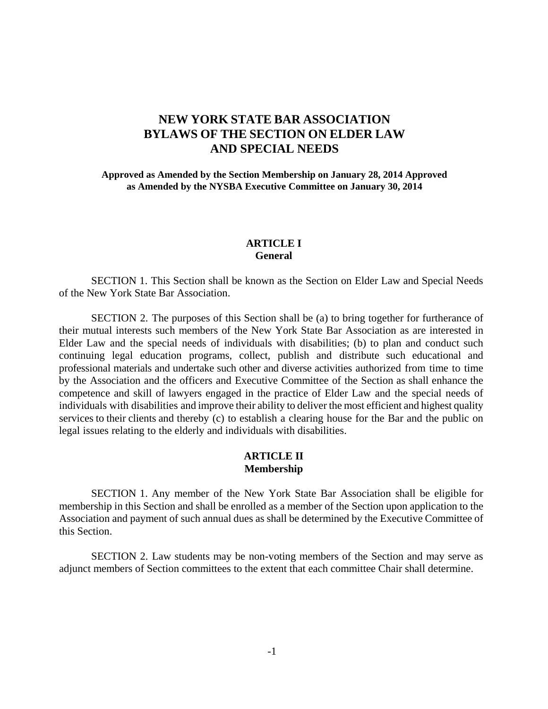# **NEW YORK STATE BAR ASSOCIATION BYLAWS OF THE SECTION ON ELDER LAW AND SPECIAL NEEDS**

**Approved as Amended by the Section Membership on January 28, 2014 Approved as Amended by the NYSBA Executive Committee on January 30, 2014**

#### **ARTICLE I General**

SECTION 1. This Section shall be known as the Section on Elder Law and Special Needs of the New York State Bar Association.

SECTION 2. The purposes of this Section shall be (a) to bring together for furtherance of their mutual interests such members of the New York State Bar Association as are interested in Elder Law and the special needs of individuals with disabilities; (b) to plan and conduct such continuing legal education programs, collect, publish and distribute such educational and professional materials and undertake such other and diverse activities authorized from time to time by the Association and the officers and Executive Committee of the Section as shall enhance the competence and skill of lawyers engaged in the practice of Elder Law and the special needs of individuals with disabilities and improve their ability to deliver the most efficient and highest quality services to their clients and thereby (c) to establish a clearing house for the Bar and the public on legal issues relating to the elderly and individuals with disabilities.

## **ARTICLE II Membership**

SECTION 1. Any member of the New York State Bar Association shall be eligible for membership in this Section and shall be enrolled as a member of the Section upon application to the Association and payment of such annual dues as shall be determined by the Executive Committee of this Section.

SECTION 2. Law students may be non-voting members of the Section and may serve as adjunct members of Section committees to the extent that each committee Chair shall determine.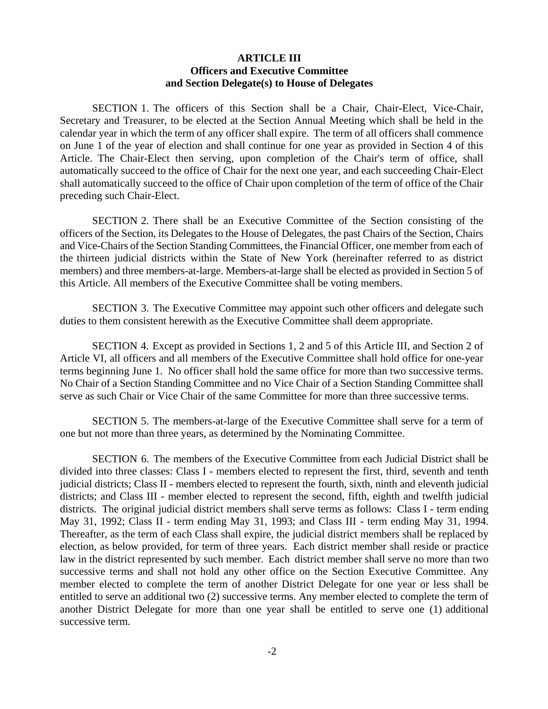#### **ARTICLE III Officers and Executive Committee and Section Delegate(s) to House of Delegates**

SECTION 1. The officers of this Section shall be a Chair, Chair-Elect, Vice-Chair, Secretary and Treasurer, to be elected at the Section Annual Meeting which shall be held in the calendar year in which the term of any officer shall expire. The term of all officers shall commence on June 1 of the year of election and shall continue for one year as provided in Section 4 of this Article. The Chair-Elect then serving, upon completion of the Chair's term of office, shall automatically succeed to the office of Chair for the next one year, and each succeeding Chair-Elect shall automatically succeed to the office of Chair upon completion of the term of office of the Chair preceding such Chair-Elect.

SECTION 2. There shall be an Executive Committee of the Section consisting of the officers of the Section, its Delegates to the House of Delegates, the past Chairs of the Section, Chairs and Vice-Chairs of the Section Standing Committees, the Financial Officer, one member from each of the thirteen judicial districts within the State of New York (hereinafter referred to as district members) and three members-at-large. Members-at-large shall be elected as provided in Section 5 of this Article. All members of the Executive Committee shall be voting members.

SECTION 3. The Executive Committee may appoint such other officers and delegate such duties to them consistent herewith as the Executive Committee shall deem appropriate.

SECTION 4. Except as provided in Sections 1, 2 and 5 of this Article III, and Section 2 of Article VI, all officers and all members of the Executive Committee shall hold office for one-year terms beginning June 1. No officer shall hold the same office for more than two successive terms. No Chair of a Section Standing Committee and no Vice Chair of a Section Standing Committee shall serve as such Chair or Vice Chair of the same Committee for more than three successive terms.

SECTION 5. The members-at-large of the Executive Committee shall serve for a term of one but not more than three years, as determined by the Nominating Committee.

 SECTION 6. The members of the Executive Committee from each Judicial District shall be divided into three classes: Class I - members elected to represent the first, third, seventh and tenth judicial districts; Class II - members elected to represent the fourth, sixth, ninth and eleventh judicial districts; and Class III - member elected to represent the second, fifth, eighth and twelfth judicial districts. The original judicial district members shall serve terms as follows: Class I - term ending May 31, 1992; Class II - term ending May 31, 1993; and Class III - term ending May 31, 1994. Thereafter, as the term of each Class shall expire, the judicial district members shall be replaced by election, as below provided, for term of three years. Each district member shall reside or practice law in the district represented by such member. Each district member shall serve no more than two successive terms and shall not hold any other office on the Section Executive Committee. Any member elected to complete the term of another District Delegate for one year or less shall be entitled to serve an additional two (2) successive terms. Any member elected to complete the term of another District Delegate for more than one year shall be entitled to serve one (1) additional successive term.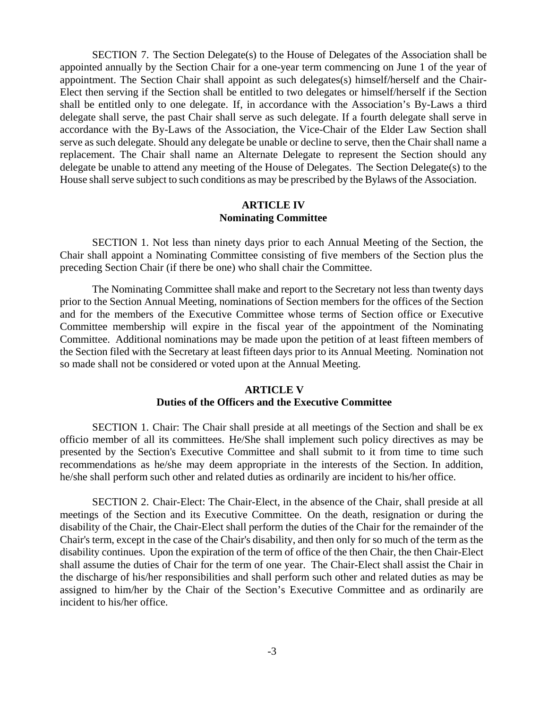SECTION 7. The Section Delegate(s) to the House of Delegates of the Association shall be appointed annually by the Section Chair for a one-year term commencing on June 1 of the year of appointment. The Section Chair shall appoint as such delegates(s) himself/herself and the Chair-Elect then serving if the Section shall be entitled to two delegates or himself/herself if the Section shall be entitled only to one delegate. If, in accordance with the Association's By-Laws a third delegate shall serve, the past Chair shall serve as such delegate. If a fourth delegate shall serve in accordance with the By-Laws of the Association, the Vice-Chair of the Elder Law Section shall serve as such delegate. Should any delegate be unable or decline to serve, then the Chair shall name a replacement. The Chair shall name an Alternate Delegate to represent the Section should any delegate be unable to attend any meeting of the House of Delegates. The Section Delegate(s) to the House shall serve subject to such conditions as may be prescribed by the Bylaws of the Association.

#### **ARTICLE IV Nominating Committee**

SECTION 1. Not less than ninety days prior to each Annual Meeting of the Section, the Chair shall appoint a Nominating Committee consisting of five members of the Section plus the preceding Section Chair (if there be one) who shall chair the Committee.

The Nominating Committee shall make and report to the Secretary not less than twenty days prior to the Section Annual Meeting, nominations of Section members for the offices of the Section and for the members of the Executive Committee whose terms of Section office or Executive Committee membership will expire in the fiscal year of the appointment of the Nominating Committee. Additional nominations may be made upon the petition of at least fifteen members of the Section filed with the Secretary at least fifteen days prior to its Annual Meeting. Nomination not so made shall not be considered or voted upon at the Annual Meeting.

#### **ARTICLE V Duties of the Officers and the Executive Committee**

SECTION 1. Chair: The Chair shall preside at all meetings of the Section and shall be ex officio member of all its committees. He/She shall implement such policy directives as may be presented by the Section's Executive Committee and shall submit to it from time to time such recommendations as he/she may deem appropriate in the interests of the Section. In addition, he/she shall perform such other and related duties as ordinarily are incident to his/her office.

SECTION 2. Chair-Elect: The Chair-Elect, in the absence of the Chair, shall preside at all meetings of the Section and its Executive Committee. On the death, resignation or during the disability of the Chair, the Chair-Elect shall perform the duties of the Chair for the remainder of the Chair's term, except in the case of the Chair's disability, and then only for so much of the term as the disability continues. Upon the expiration of the term of office of the then Chair, the then Chair-Elect shall assume the duties of Chair for the term of one year. The Chair-Elect shall assist the Chair in the discharge of his/her responsibilities and shall perform such other and related duties as may be assigned to him/her by the Chair of the Section's Executive Committee and as ordinarily are incident to his/her office.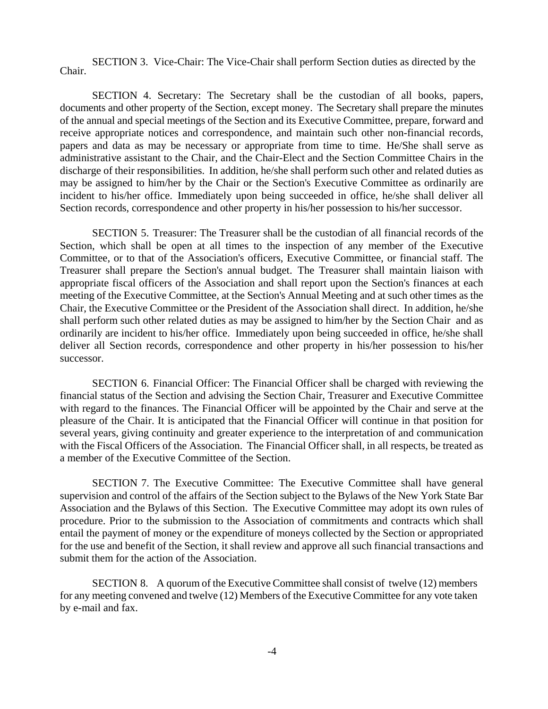SECTION 3. Vice-Chair: The Vice-Chair shall perform Section duties as directed by the Chair.

SECTION 4. Secretary: The Secretary shall be the custodian of all books, papers, documents and other property of the Section, except money. The Secretary shall prepare the minutes of the annual and special meetings of the Section and its Executive Committee, prepare, forward and receive appropriate notices and correspondence, and maintain such other non-financial records, papers and data as may be necessary or appropriate from time to time. He/She shall serve as administrative assistant to the Chair, and the Chair-Elect and the Section Committee Chairs in the discharge of their responsibilities. In addition, he/she shall perform such other and related duties as may be assigned to him/her by the Chair or the Section's Executive Committee as ordinarily are incident to his/her office. Immediately upon being succeeded in office, he/she shall deliver all Section records, correspondence and other property in his/her possession to his/her successor.

SECTION 5. Treasurer: The Treasurer shall be the custodian of all financial records of the Section, which shall be open at all times to the inspection of any member of the Executive Committee, or to that of the Association's officers, Executive Committee, or financial staff. The Treasurer shall prepare the Section's annual budget. The Treasurer shall maintain liaison with appropriate fiscal officers of the Association and shall report upon the Section's finances at each meeting of the Executive Committee, at the Section's Annual Meeting and at such other times as the Chair, the Executive Committee or the President of the Association shall direct. In addition, he/she shall perform such other related duties as may be assigned to him/her by the Section Chair and as ordinarily are incident to his/her office. Immediately upon being succeeded in office, he/she shall deliver all Section records, correspondence and other property in his/her possession to his/her successor.

SECTION 6. Financial Officer: The Financial Officer shall be charged with reviewing the financial status of the Section and advising the Section Chair, Treasurer and Executive Committee with regard to the finances. The Financial Officer will be appointed by the Chair and serve at the pleasure of the Chair. It is anticipated that the Financial Officer will continue in that position for several years, giving continuity and greater experience to the interpretation of and communication with the Fiscal Officers of the Association. The Financial Officer shall, in all respects, be treated as a member of the Executive Committee of the Section.

SECTION 7. The Executive Committee: The Executive Committee shall have general supervision and control of the affairs of the Section subject to the Bylaws of the New York State Bar Association and the Bylaws of this Section. The Executive Committee may adopt its own rules of procedure. Prior to the submission to the Association of commitments and contracts which shall entail the payment of money or the expenditure of moneys collected by the Section or appropriated for the use and benefit of the Section, it shall review and approve all such financial transactions and submit them for the action of the Association.

SECTION 8. A quorum of the Executive Committee shall consist of twelve (12) members for any meeting convened and twelve (12) Members of the Executive Committee for any vote taken by e-mail and fax.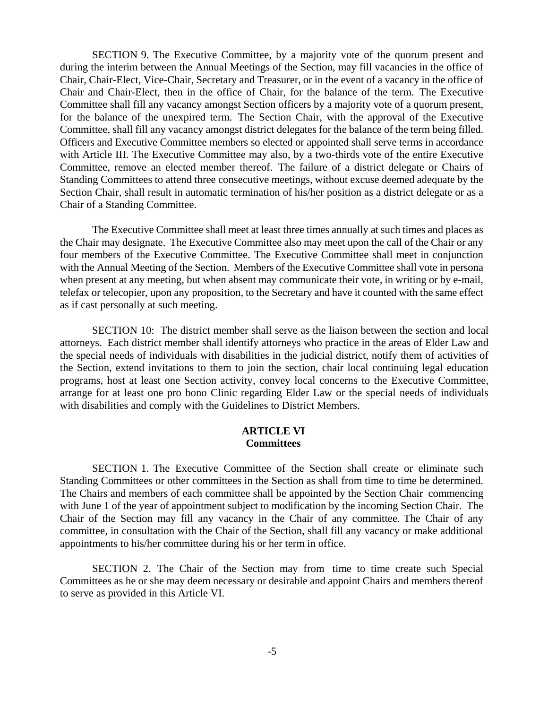SECTION 9. The Executive Committee, by a majority vote of the quorum present and during the interim between the Annual Meetings of the Section, may fill vacancies in the office of Chair, Chair-Elect, Vice-Chair, Secretary and Treasurer, or in the event of a vacancy in the office of Chair and Chair-Elect, then in the office of Chair, for the balance of the term. The Executive Committee shall fill any vacancy amongst Section officers by a majority vote of a quorum present, for the balance of the unexpired term. The Section Chair, with the approval of the Executive Committee, shall fill any vacancy amongst district delegates for the balance of the term being filled. Officers and Executive Committee members so elected or appointed shall serve terms in accordance with Article III. The Executive Committee may also, by a two-thirds vote of the entire Executive Committee, remove an elected member thereof. The failure of a district delegate or Chairs of Standing Committees to attend three consecutive meetings, without excuse deemed adequate by the Section Chair, shall result in automatic termination of his/her position as a district delegate or as a Chair of a Standing Committee.

The Executive Committee shall meet at least three times annually at such times and places as the Chair may designate. The Executive Committee also may meet upon the call of the Chair or any four members of the Executive Committee. The Executive Committee shall meet in conjunction with the Annual Meeting of the Section. Members of the Executive Committee shall vote in persona when present at any meeting, but when absent may communicate their vote, in writing or by e-mail, telefax or telecopier, upon any proposition, to the Secretary and have it counted with the same effect as if cast personally at such meeting.

SECTION 10: The district member shall serve as the liaison between the section and local attorneys. Each district member shall identify attorneys who practice in the areas of Elder Law and the special needs of individuals with disabilities in the judicial district, notify them of activities of the Section, extend invitations to them to join the section, chair local continuing legal education programs, host at least one Section activity, convey local concerns to the Executive Committee, arrange for at least one pro bono Clinic regarding Elder Law or the special needs of individuals with disabilities and comply with the Guidelines to District Members.

#### **ARTICLE VI Committees**

SECTION 1. The Executive Committee of the Section shall create or eliminate such Standing Committees or other committees in the Section as shall from time to time be determined. The Chairs and members of each committee shall be appointed by the Section Chair commencing with June 1 of the year of appointment subject to modification by the incoming Section Chair. The Chair of the Section may fill any vacancy in the Chair of any committee. The Chair of any committee, in consultation with the Chair of the Section, shall fill any vacancy or make additional appointments to his/her committee during his or her term in office.

SECTION 2. The Chair of the Section may from time to time create such Special Committees as he or she may deem necessary or desirable and appoint Chairs and members thereof to serve as provided in this Article VI.